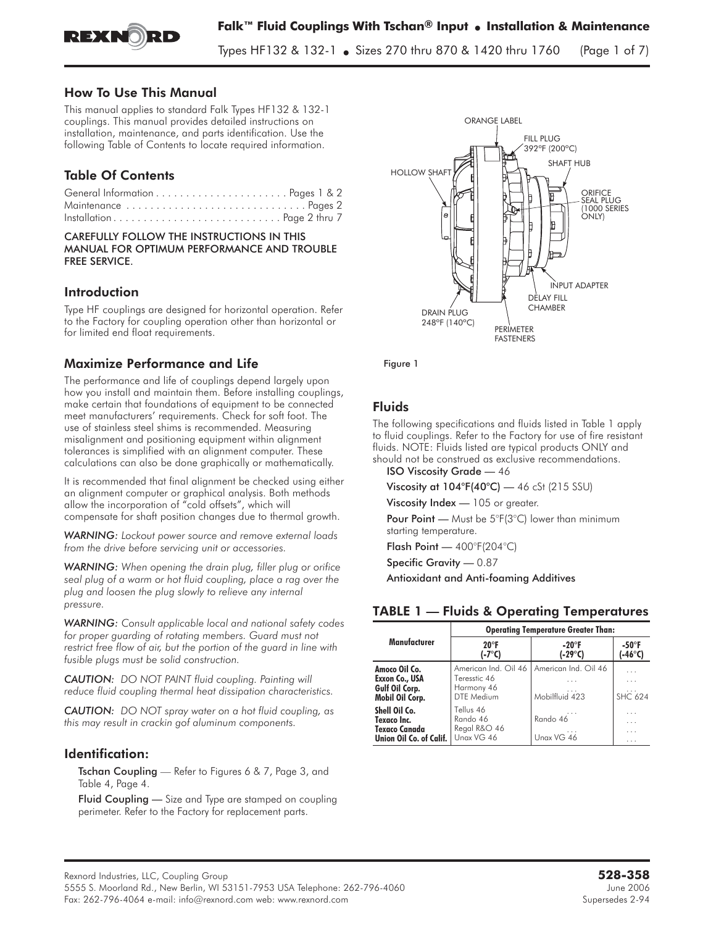

Types HF132 & 132-1 • Sizes 270 thru 870 & 1420 thru 1760  $S$  there is a thru 870  $\mu$  thru 1760 thru 1760 (Page 1 of  $\eta$ )

## How To Use This Manual

This manual applies to standard Falk Types HF132 & 132-1 couplings. This manual provides detailed instructions on installation, maintenance, and parts identification. Use the following Table of Contents to locate required information.

# Table Of Contents

| Maintenance  Pages 2       |  |
|----------------------------|--|
| Installation Page 2 thru 7 |  |

#### CAREFULLY FOLLOW THE INSTRUCTIONS IN THIS MANUAL FOR OPTIMUM PERFORMANCE AND TROUBLE FREE SERVICE.

## Introduction

Type HF couplings are designed for horizontal operation. Refer to the Factory for coupling operation other than horizontal or for limited end float requirements.

## Maximize P**erformance and Life**

The performance and life of couplings depend largely upon how you install and maintain them. Before installing couplings, make certain that foundations of equipment to be connected meet manufacturers' requirements. Check for soft foot. The use of stainless steel shims is recommended. Measuring misalignment and positioning equipment within alignment tolerances is simplified with an alignment computer. These calculations can also be done graphically or mathematically.

It is recommended that final alignment be checked using either an alignment computer or graphical analysis. Both methods allow the incorporation of "cold offsets", which will compensate for shaft position changes due to thermal growth.

*WARNING: Lockout power source and remove external loads from the drive before servicing unit or accessories.*

*WARNING: When opening the drain plug, filler plug or orifice seal plug of a warm or hot fluid coupling, place a rag over the plug and loosen the plug slowly to relieve any internal pressure.*

*WARNING: Consult applicable local and national safety codes for proper guarding of rotating members. Guard must not restrict free flow of air, but the portion of the guard in line with fusible plugs must be solid construction.*

*CAUTION: DO NOT PAINT fluid coupling. Painting will reduce fluid coupling thermal heat dissipation characteristics.*

*CAUTION: DO NOT spray water on a hot fluid coupling, as this may result in crackin gof aluminum components.*

## Identification:

Tschan Coupling - Refer to Figures 6 & 7, Page 3, and Table 4, Page 4.

Fluid Coupling — Size and Type are stamped on coupling perimeter. Refer to the Factory for replacement parts.



Figure 1

## **Fluids**

The following specifications and fluids listed in Table 1 apply to fluid couplings. Refer to the Factory for use of fire resistant fluids. NOTE: Fluids listed are typical products ONLY and should not be construed as exclusive recommendations.

ISO Viscosity Grade — 46

Viscosity at  $104^{\circ}F(40^{\circ}C)$  — 46 cSt (215 SSU)

Viscosity Index — 105 or greater.

Pour Point — Must be 5°F(3°C) lower than minimum starting temperature.

Flash Point — 400°F(204°C)

Specific Gravity — 0.87

Antioxidant and Anti-foaming Additives

# TABLE 1 — Fluids & Operating Temperatures

|                                                                                 | <b>Operating Temperature Greater Than:</b>                       |                                             |                               |  |  |
|---------------------------------------------------------------------------------|------------------------------------------------------------------|---------------------------------------------|-------------------------------|--|--|
| Manufacturer                                                                    | $20^{\circ}$ F<br>(-7°C)                                         | -20°F<br>(-29 $^{\circ}$ C)                 | $-50^\circ F$<br>(-46°C)      |  |  |
| Amoco Oil Co.<br>Exxon Co., USA<br>Gulf Oil Corp.<br>Mobil Oil Corp.            | American Ind. Oil 46<br>Teresstic 46<br>Harmony 46<br>DTE Medium | American Ind. Oil 46<br>.<br>Mobilfluid 423 | .<br>.<br>.<br><b>SHC 624</b> |  |  |
| Shell Oil Co.<br>Texaco Inc.<br><b>Texaco Canada</b><br>Union Oil Co. of Calif. | Tellus 46<br>Rando 46<br>Regal R&O 46<br>Unax VG 46              | .<br>Rando 46<br>Unax VG 46                 | .<br>$\cdots$<br>.<br>.       |  |  |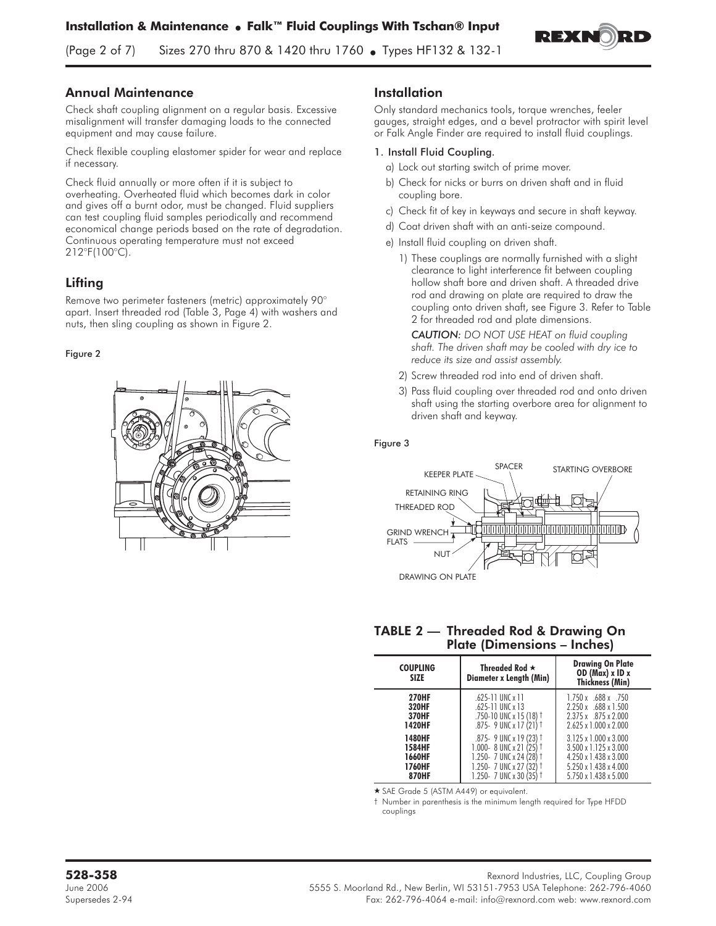D EY.

(Page 2 of 7) Sizes 270 thru 870 & 1420 thru 1760 • Types HF132 & 132-1

## Annual Maintenance

Check shaft coupling alignment on a regular basis. Excessive misalignment will transfer damaging loads to the connected equipment and may cause failure.

Check flexible coupling elastomer spider for wear and replace if necessary.

Check fluid annually or more often if it is subject to overheating. Overheated fluid which becomes dark in color and gives off a burnt odor, must be changed. Fluid suppliers can test coupling fluid samples periodically and recommend economical change periods based on the rate of degradation. Continuous operating temperature must not exceed 212°F(100°C).

# **Lifting**

Remove two perimeter fasteners (metric) approximately 90° apart. Insert threaded rod (Table 3, Page 4) with washers and nuts, then sling coupling as shown in Figure 2.

### Figure 2



## Installation

Only standard mechanics tools, torque wrenches, feeler gauges, straight edges, and a bevel protractor with spirit level or Falk Angle Finder are required to install fluid couplings.

### 1. Install Fluid Coupling.

- a) Lock out starting switch of prime mover.
- b) Check for nicks or burrs on driven shaft and in fluid coupling bore.
- c) Check fit of key in keyways and secure in shaft keyway.
- d) Coat driven shaft with an anti-seize compound.
- e) Install fluid coupling on driven shaft.
	- 1) These couplings are normally furnished with a slight clearance to light interference fit between coupling hollow shaft bore and driven shaft. A threaded drive rod and drawing on plate are required to draw the coupling onto driven shaft, see Figure 3. Refer to Table 2 for threaded rod and plate dimensions.

*CAUTION: DO NOT USE HEAT on fluid coupling shaft. The driven shaft may be cooled with dry ice to reduce its size and assist assembly.*

- 2) Screw threaded rod into end of driven shaft.
- 3) Pass fluid coupling over threaded rod and onto driven shaft using the starting overbore area for alignment to driven shaft and keyway.

#### Figure 3



### TABLE 2 — Threaded Rod & Drawing On Plate (Dimensions – Inches)

| <b>COUPLING</b><br><b>SIZE</b> | Threaded Rod $\star$<br>Diameter x Length (Min) | <b>Drawing On Plate</b><br>OD ( $Max$ ) x ID x<br><b>Thickness (Min)</b> |
|--------------------------------|-------------------------------------------------|--------------------------------------------------------------------------|
| <b>270HF</b>                   | $.625 - 11$ UNC $x$ 11                          | $1.750 \times .688 \times .750$                                          |
| 320HF                          | $.625 - 11$ UNC $\times$ 13                     | $2.250 \times 688 \times 1.500$                                          |
| <b>370HF</b>                   | $.750 - 10$ UNC x 15 (18) <sup>†</sup>          | 2.375 x .875 x 2.000                                                     |
| <b>1420HF</b>                  | .875- 9 UNC x 17 (21) t                         | $2.625 \times 1.000 \times 2.000$                                        |
| <b>1480HF</b>                  | $.875 - 9$ UNC x 19 (23) <sup>†</sup>           | $3.125 \times 1.000 \times 3.000$                                        |
| 1584HF                         | 1.000- 8 UNC x 21 (25)                          | $3.500 \times 1.125 \times 3.000$                                        |
| 1660HF                         | 1.250 - 7 UNC x 24 (28)                         | $4.250 \times 1.438 \times 3.000$                                        |
| 1760HF                         | 1.250- 7 UNC x 27 (32)                          | 5.250 x 1.438 x 4.000                                                    |
| 870HF                          | 1.250- 7 UNC x 30 (35)                          | $5.750 \times 1.438 \times 5.000$                                        |

- SAE Grade 5 (ASTM A449) or equivalent.

† Number in parenthesis is the minimum length required for Type HFDD couplings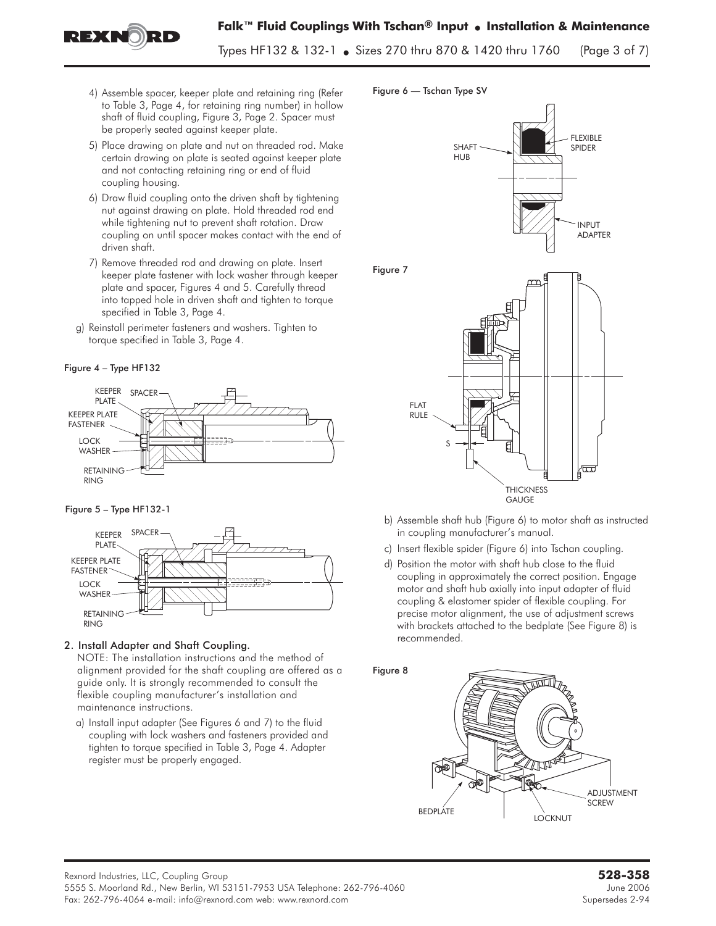**Falk™ Fluid Couplings With Tschan® Input** - **Installation & Maintenance**

Types HF132 & 132-1 • Sizes 270 thru 870 & 1420 thru 1760  $S$  there is a thru  $\alpha$  is the three three  $\alpha$  (Page 3 of  $\gamma$ )

- 4) Assemble spacer, keeper plate and retaining ring (Refer to Table 3, Page 4, for retaining ring number) in hollow shaft of fluid coupling, Figure 3, Page 2. Spacer must be properly seated against keeper plate.
- 5) Place drawing on plate and nut on threaded rod. Make certain drawing on plate is seated against keeper plate and not contacting retaining ring or end of fluid coupling housing.
- 6) Draw fluid coupling onto the driven shaft by tightening nut against drawing on plate. Hold threaded rod end while tightening nut to prevent shaft rotation. Draw coupling on until spacer makes contact with the end of driven shaft.
- 7) Remove threaded rod and drawing on plate. Insert keeper plate fastener with lock washer through keeper plate and spacer, Figures 4 and 5. Carefully thread into tapped hole in driven shaft and tighten to torque specified in Table 3, Page 4.
- g) Reinstall perimeter fasteners and washers. Tighten to torque specified in Table 3, Page 4.

#### Figure 4 – Type HF132

REXNORD



#### Figure 5 – Type HF132-1



# 2. Install Adapter and Shaft Coupling.

NOTE: The installation instructions and the method of alignment provided for the shaft coupling are offered as a guide only. It is strongly recommended to consult the flexible coupling manufacturer's installation and maintenance instructions.

a) Install input adapter (See Figures 6 and 7) to the fluid coupling with lock washers and fasteners provided and tighten to torque specified in Table 3, Page 4. Adapter register must be properly engaged.

### Figure 6 — Tschan Type SV



- b) Assemble shaft hub (Figure 6) to motor shaft as instructed in coupling manufacturer's manual.
- c) Insert flexible spider (Figure 6) into Tschan coupling.
- d) Position the motor with shaft hub close to the fluid coupling in approximately the correct position. Engage motor and shaft hub axially into input adapter of fluid coupling & elastomer spider of flexible coupling. For precise motor alignment, the use of adjustment screws with brackets attached to the bedplate (See Figure 8) is recommended.

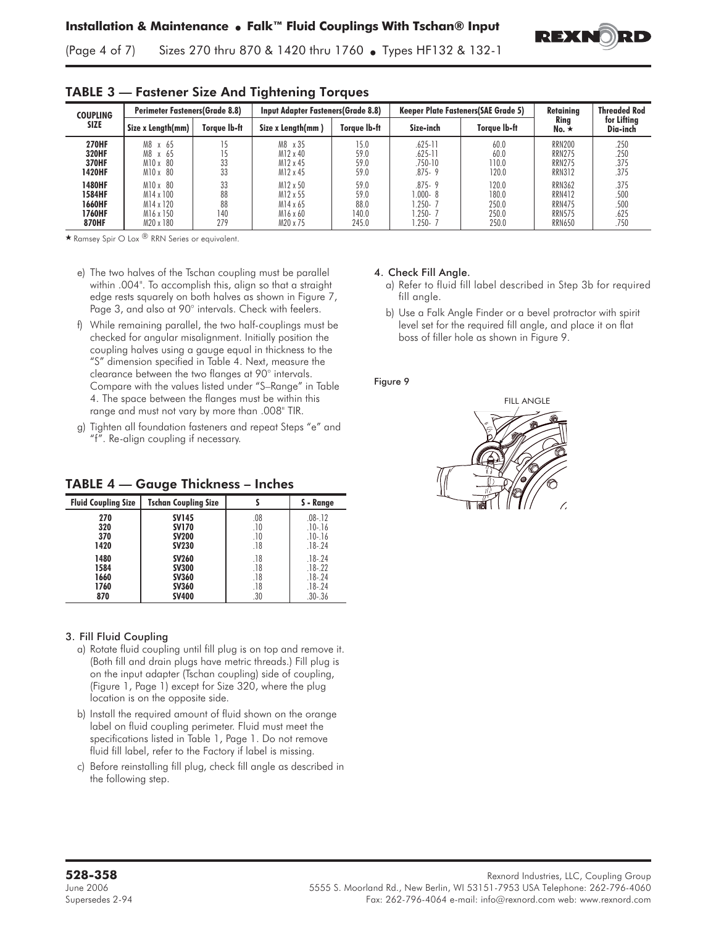

(Page 4 of 7) Sizes 270 thru 870 & 1420 thru 1760 • Types HF132 & 132-1

| <b>COUPLING</b>                                      |                                                                     | <b>Perimeter Fasteners (Grade 8.8)</b> |                                                          | <b>Input Adapter Fasteners (Grade 8.8)</b> |                                                               | <b>Keeper Plate Fasteners (SAE Grade 5)</b> | Retainina                                                                         | <b>Threaded Rod</b>                  |
|------------------------------------------------------|---------------------------------------------------------------------|----------------------------------------|----------------------------------------------------------|--------------------------------------------|---------------------------------------------------------------|---------------------------------------------|-----------------------------------------------------------------------------------|--------------------------------------|
| <b>SIZE</b>                                          | Size x Length(mm)                                                   | Torave Ib-ft                           | Size x Length(mm)                                        | Torave Ib-ft                               | Size-inch                                                     | Torave Ib-ft                                | Rina<br>No. $\star$                                                               | for Lifting<br>Dia-inch              |
| <b>270HF</b><br><b>320HF</b><br>370HF<br>1420HF      | M8 x 65<br>M8 x 65<br>$M10 \times 80$<br>M10 x 80                   | 33<br>33                               | M8 x 35<br>M12 x 40<br>M12 x 45<br>M12 x 45              | 15.0<br>59.0<br>59.0<br>59.0               | $.625 - 11$<br>$.625 - 11$<br>$.750 - 10$<br>$.875 - 9$       | 60.0<br>60.0<br>110.0<br>120.0              | <b>RRN200</b><br><b>RRN275</b><br><b>RRN275</b><br><b>RRN312</b>                  | .250<br>.250<br>.375<br>.375         |
| 1480HF<br>1584HF<br>1660HF<br>1760HF<br><b>870HF</b> | $M10 \times 80$<br>M14 x 100<br>M14 x 120<br>M16 x 150<br>M20 x 180 | 33<br>88<br>88<br>140<br>279           | M12 x 50<br>M12 x 55<br>M14 x 65<br>M16 x 60<br>M20 x 75 | 59.0<br>59.0<br>88.0<br>140.0<br>245.0     | $.875 - 9$<br>$.000 - 8$<br>1.250-7<br>$.250 - 7$<br>$.250 -$ | 120.0<br>180.0<br>250.0<br>250.0<br>250.0   | <b>RRN362</b><br><b>RRN412</b><br><b>RRN475</b><br><b>RRN575</b><br><b>RRN650</b> | .375<br>.500<br>.500<br>.625<br>.750 |

# TABLE 3 — Fastener Size And Tightening Torques

 $\star$  Ramsey Spir O Lox  $\overline{B}$  RRN Series or equivalent.

- e) The two halves of the Tschan coupling must be parallel within .004". To accomplish this, align so that a straight edge rests squarely on both halves as shown in Figure 7, Page 3, and also at 90° intervals. Check with feelers.
- f) While remaining parallel, the two half-couplings must be checked for angular misalignment. Initially position the coupling halves using a gauge equal in thickness to the "S" dimension specified in Table 4. Next, measure the clearance between the two flanges at 90° intervals. Compare with the values listed under "S–Range" in Table 4. The space between the flanges must be within this range and must not vary by more than .008" TIR.
- g) Tighten all foundation fasteners and repeat Steps "e" and "f". Re-align coupling if necessary.

# TABLE 4 — Gauge Thickness – Inches

| <b>Fluid Coupling Size</b> | <b>Tschan Coupling Size</b> |     | S - Range   |
|----------------------------|-----------------------------|-----|-------------|
| 270                        | <b>SV145</b>                | .08 | $.08 - .12$ |
| 320                        | <b>SV170</b>                | .10 | $.10 - .16$ |
| 370                        | <b>SV200</b>                | .10 | $.10 - .16$ |
| 1420                       | <b>SV230</b>                | .18 | $.18 - .24$ |
| 1480                       | <b>SV260</b>                | .18 | $.18 - 24$  |
| 1584                       | <b>SV300</b>                | .18 | $.18 - .22$ |
| 1660                       | <b>SV360</b>                | .18 | $.18 - .24$ |
| 1760                       | <b>SV360</b>                | .18 | $.18 - .24$ |
| 870                        | <b>SV400</b>                | .30 | $.30 - .36$ |

### 3. Fill Fluid Coupling

- a) Rotate fluid coupling until fill plug is on top and remove it. (Both fill and drain plugs have metric threads.) Fill plug is on the input adapter (Tschan coupling) side of coupling, (Figure 1, Page 1) except for Size 320, where the plug location is on the opposite side.
- b) Install the required amount of fluid shown on the orange label on fluid coupling perimeter. Fluid must meet the specifications listed in Table 1, Page 1. Do not remove fluid fill label, refer to the Factory if label is missing.
- c) Before reinstalling fill plug, check fill angle as described in the following step.

### 4. Check Fill Angle.

- a) Refer to fluid fill label described in Step 3b for required fill angle.
- b) Use a Falk Angle Finder or a bevel protractor with spirit level set for the required fill angle, and place it on flat boss of filler hole as shown in Figure 9.

#### Figure 9

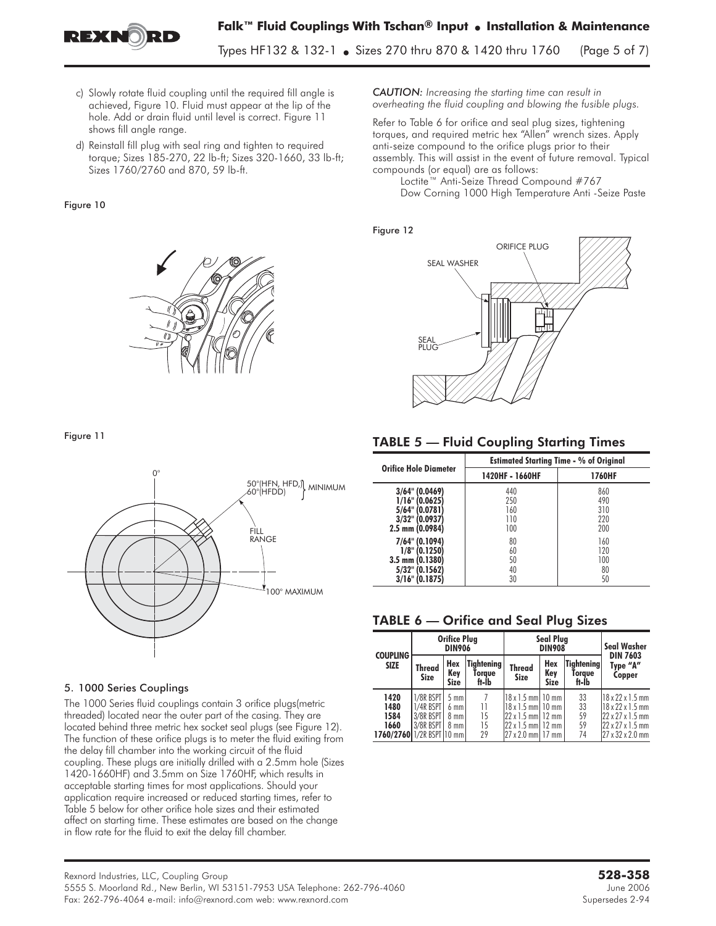

**Falk™ Fluid Couplings With Tschan® Input** - **Installation & Maintenance**

Types HF132 & 132-1 • Sizes 270 thru 870 & 1420 thru 1760  $S$  there is a thru  $\alpha$  is the three three  $\alpha$  (Page 5 of  $\alpha$ )

- c) Slowly rotate fluid coupling until the required fill angle is achieved, Figure 10. Fluid must appear at the lip of the hole. Add or drain fluid until level is correct. Figure 11 shows fill angle range.
- d) Reinstall fill plug with seal ring and tighten to required torque; Sizes 185-270, 22 lb-ft; Sizes 320-1660, 33 lb-ft; Sizes 1760/2760 and 870, 59 lb-ft.

### Figure 10



#### Figure 11



#### 5. 1000 Series Couplings

The 1000 Series fluid couplings contain 3 orifice plugs(metric threaded) located near the outer part of the casing. They are located behind three metric hex socket seal plugs (see Figure 12). The function of these orifice plugs is to meter the fluid exiting from the delay fill chamber into the working circuit of the fluid coupling. These plugs are initially drilled with a 2.5mm hole (Sizes 1420-1660HF) and 3.5mm on Size 1760HF, which results in acceptable starting times for most applications. Should your application require increased or reduced starting times, refer to Table 5 below for other orifice hole sizes and their estimated affect on starting time. These estimates are based on the change in flow rate for the fluid to exit the delay fill chamber.

*CAUTION: Increasing the starting time can result in overheating the fluid coupling and blowing the fusible plugs.*

Refer to Table 6 for orifice and seal plug sizes, tightening torques, and required metric hex "Allen" wrench sizes. Apply anti-seize compound to the orifice plugs prior to their assembly. This will assist in the event of future removal. Typical compounds (or equal) are as follows:

Loctite™ Anti-Seize Thread Compound #767 Dow Corning 1000 High Temperature Anti -Seize Paste

#### Figure 12



### TABLE 5 — Fluid Coupling Starting Times

|                              | <b>Estimated Starting Time - % of Original</b> |               |  |  |
|------------------------------|------------------------------------------------|---------------|--|--|
| <b>Orifice Hole Diameter</b> | 1420HF - 1660HF                                | <b>1760HF</b> |  |  |
| 3/64" (0.0469)               | 440                                            | 860           |  |  |
| $1/16$ " (0.0625)            | 250                                            | 490           |  |  |
| 5/64" (0.0781)               | 160                                            | 310           |  |  |
| 3/32" (0.0937)               | 110                                            | 220           |  |  |
| 2.5 mm (0.0984)              | 100                                            | 200           |  |  |
| 7/64" (0.1094)               | 80                                             | 160           |  |  |
| $1/8$ " (0.1250)             | 60                                             | 120           |  |  |
| 3.5 mm (0.1380)              | 50                                             | 100           |  |  |
| 5/32" (0.1562)               | 40                                             | 80            |  |  |
| $3/16$ " (0.1875)            | 30                                             | 50            |  |  |

## TABLE 6 — Orifice and Seal Plug Sizes

| <b>COUPLING</b>                                           |                                                  | <b>Orifice Plug</b><br><b>DIN906</b>             |                                        |                                                                                                                                     | <b>Seal Plug</b><br><b>DIN908</b> |                                      |                                                                                                              |
|-----------------------------------------------------------|--------------------------------------------------|--------------------------------------------------|----------------------------------------|-------------------------------------------------------------------------------------------------------------------------------------|-----------------------------------|--------------------------------------|--------------------------------------------------------------------------------------------------------------|
| <b>SIZE</b>                                               | <b>Thread</b><br><b>Size</b>                     | Hex<br>Key<br>Size                               | <b>Tightening</b><br>Torque<br>ft-lb   | <b>Thread</b><br><b>Size</b>                                                                                                        | Hex<br>Key<br><b>Size</b>         | <b>Tightening</b><br>Torque<br>ft-lb | <b>DIN 7603</b><br>Type "A"<br>Copper                                                                        |
| 1420<br>1480<br>1584<br>1660<br>1760/276011/2R BSPT 10 mm | 1/8R BSPT<br>1/4R BSPT<br>3/8R BSPT<br>3/8R BSPT | $5 \text{ mm}$<br>$6$ mm<br>$8$ mm $ $<br>$8$ mm | $\overline{1}$<br>11<br>15<br>15<br>29 | 18 x 1.5 mm   10 mm<br>18 x 1.5 mml 10 mm<br>$22 \times 1.5$ mm $12$ mm<br>$22 \times 1.5$ mm $12$ mm<br>$27 \times 2.0$ mm $17$ mm |                                   | 33<br>33<br>59<br>59<br>74           | 18 x 22 x 1.5 mm<br>18 x 22 x 1.5 mm<br>22 x 27 x 1.5 mm<br>$22 \times 27 \times 1.5$ mm<br>27 x 32 x 2.0 mm |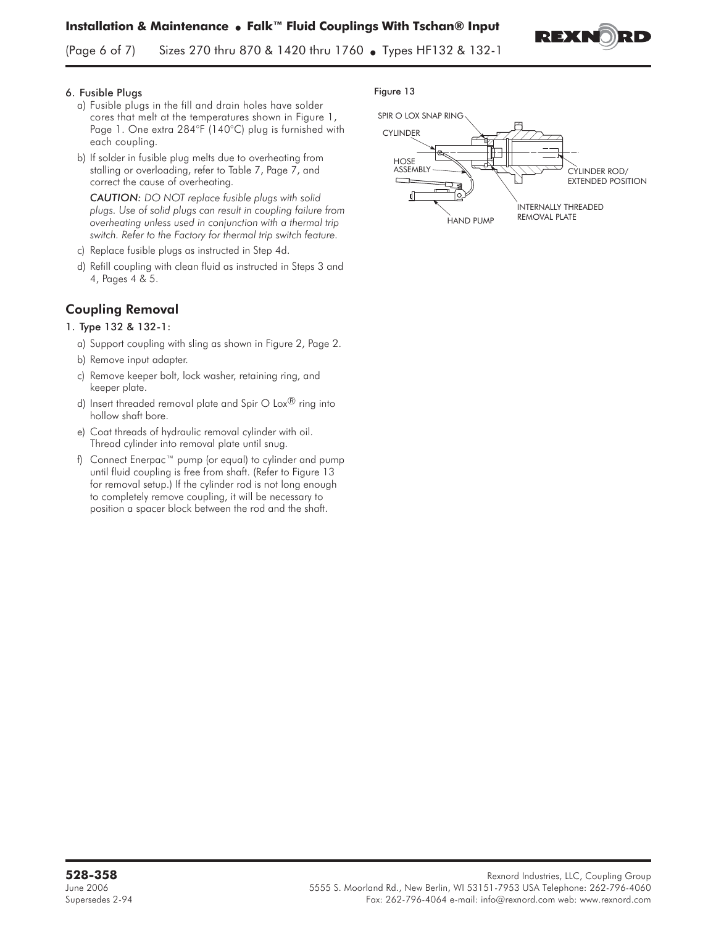REX

(Page 6 of 7) Sizes 270 thru 870 & 1420 thru 1760 • Types HF132 & 132-1

### 6. Fusible Plugs

- a) Fusible plugs in the fill and drain holes have solder cores that melt at the temperatures shown in Figure 1, Page 1. One extra 284°F (140°C) plug is furnished with each coupling.
- b) If solder in fusible plug melts due to overheating from stalling or overloading, refer to Table 7, Page 7, and correct the cause of overheating.

*CAUTION: DO NOT replace fusible plugs with solid plugs. Use of solid plugs can result in coupling failure from overheating unless used in conjunction with a thermal trip switch. Refer to the Factory for thermal trip switch feature.*

- c) Replace fusible plugs as instructed in Step 4d.
- d) Refill coupling with clean fluid as instructed in Steps 3 and 4, Pages 4 & 5.

# Coupling Removal

### 1. Type 132 & 132-1:

- a) Support coupling with sling as shown in Figure 2, Page 2.
- b) Remove input adapter.
- c) Remove keeper bolt, lock washer, retaining ring, and keeper plate.
- d) Insert threaded removal plate and Spir O Lox $\mathcal{B}$  ring into hollow shaft bore.
- e) Coat threads of hydraulic removal cylinder with oil. Thread cylinder into removal plate until snug.
- f) Connect Enerpac™ pump (or equal) to cylinder and pump until fluid coupling is free from shaft. (Refer to Figure 13 for removal setup.) If the cylinder rod is not long enough to completely remove coupling, it will be necessary to position a spacer block between the rod and the shaft.

#### Figure 13